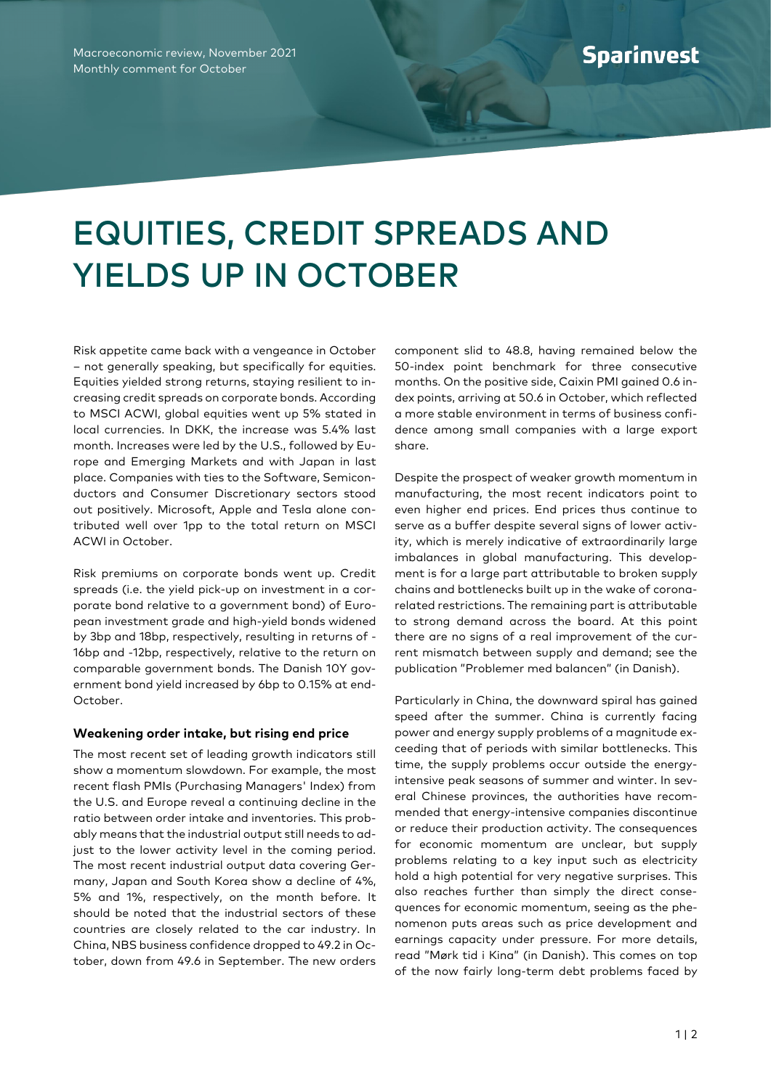## EQUITIES, CREDIT SPREADS AND YIELDS UP IN OCTOBER

Risk appetite came back with a vengeance in October – not generally speaking, but specifically for equities. Equities yielded strong returns, staying resilient to increasing credit spreads on corporate bonds. According to MSCI ACWI, global equities went up 5% stated in local currencies. In DKK, the increase was 5.4% last month. Increases were led by the U.S., followed by Europe and Emerging Markets and with Japan in last place. Companies with ties to the Software, Semiconductors and Consumer Discretionary sectors stood out positively. Microsoft, Apple and Tesla alone contributed well over 1pp to the total return on MSCI ACWI in October.

Risk premiums on corporate bonds went up. Credit spreads (i.e. the yield pick-up on investment in a corporate bond relative to a government bond) of European investment grade and high-yield bonds widened by 3bp and 18bp, respectively, resulting in returns of - 16bp and -12bp, respectively, relative to the return on comparable government bonds. The Danish 10Y government bond yield increased by 6bp to 0.15% at end-October.

## **Weakening order intake, but rising end price**

The most recent set of leading growth indicators still show a momentum slowdown. For example, the most recent flash PMIs (Purchasing Managers' Index) from the U.S. and Europe reveal a continuing decline in the ratio between order intake and inventories. This probably means that the industrial output still needs to adjust to the lower activity level in the coming period. The most recent industrial output data covering Germany, Japan and South Korea show a decline of 4%, 5% and 1%, respectively, on the month before. It should be noted that the industrial sectors of these countries are closely related to the car industry. In China, NBS business confidence dropped to 49.2 in October, down from 49.6 in September. The new orders component slid to 48.8, having remained below the 50-index point benchmark for three consecutive months. On the positive side, Caixin PMI gained 0.6 index points, arriving at 50.6 in October, which reflected a more stable environment in terms of business confidence among small companies with a large export share.

Despite the prospect of weaker growth momentum in manufacturing, the most recent indicators point to even higher end prices. End prices thus continue to serve as a buffer despite several signs of lower activity, which is merely indicative of extraordinarily large imbalances in global manufacturing. This development is for a large part attributable to broken supply chains and bottlenecks built up in the wake of coronarelated restrictions. The remaining part is attributable to strong demand across the board. At this point there are no signs of a real improvement of the current mismatch between supply and demand; see the publication "Problemer med balancen" (in Danish).

Particularly in China, the downward spiral has gained speed after the summer. China is currently facing power and energy supply problems of a magnitude exceeding that of periods with similar bottlenecks. This time, the supply problems occur outside the energyintensive peak seasons of summer and winter. In several Chinese provinces, the authorities have recommended that energy-intensive companies discontinue or reduce their production activity. The consequences for economic momentum are unclear, but supply problems relating to a key input such as electricity hold a high potential for very negative surprises. This also reaches further than simply the direct consequences for economic momentum, seeing as the phenomenon puts areas such as price development and earnings capacity under pressure. For more details, read "Mørk tid i Kina" (in Danish). This comes on top of the now fairly long-term debt problems faced by